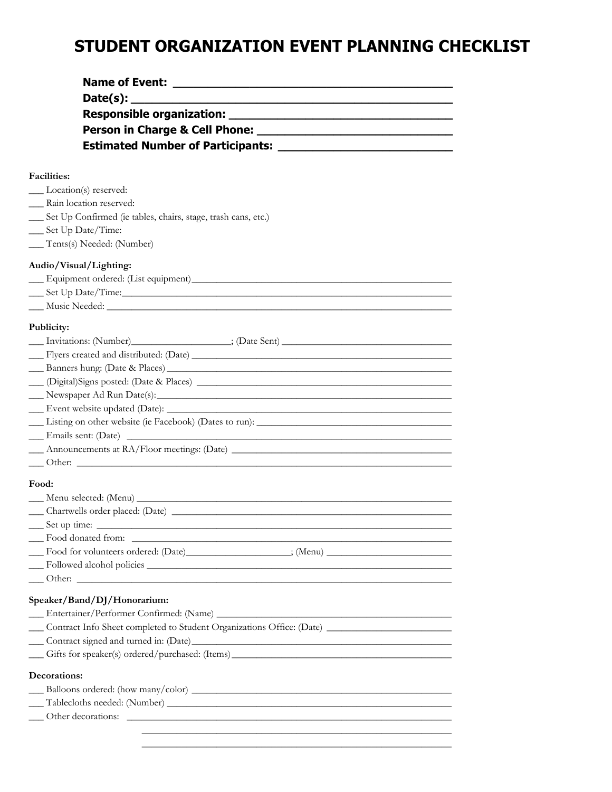## **STUDENT ORGANIZATION EVENT PLANNING CHECKLIST**

| Person in Charge & Cell Phone: New York Charges and Charges and Charges and Charges and Charges and Charges and Charges and Charges and Charges and Charges and Charges and Charges and Charges and Charges and Charges and Ch |  |
|--------------------------------------------------------------------------------------------------------------------------------------------------------------------------------------------------------------------------------|--|
|                                                                                                                                                                                                                                |  |
|                                                                                                                                                                                                                                |  |
| <b>Facilities:</b>                                                                                                                                                                                                             |  |
| __ Location(s) reserved:                                                                                                                                                                                                       |  |
| __ Rain location reserved:                                                                                                                                                                                                     |  |
| __ Set Up Confirmed (ie tables, chairs, stage, trash cans, etc.)                                                                                                                                                               |  |
| __ Set Up Date/Time:                                                                                                                                                                                                           |  |
| __ Tents(s) Needed: (Number)                                                                                                                                                                                                   |  |
| Audio/Visual/Lighting:                                                                                                                                                                                                         |  |
|                                                                                                                                                                                                                                |  |
|                                                                                                                                                                                                                                |  |
|                                                                                                                                                                                                                                |  |
|                                                                                                                                                                                                                                |  |
| Publicity:                                                                                                                                                                                                                     |  |
|                                                                                                                                                                                                                                |  |
|                                                                                                                                                                                                                                |  |
|                                                                                                                                                                                                                                |  |
|                                                                                                                                                                                                                                |  |
|                                                                                                                                                                                                                                |  |
|                                                                                                                                                                                                                                |  |
|                                                                                                                                                                                                                                |  |
|                                                                                                                                                                                                                                |  |
| Announcements at RA/Floor meetings: (Date)                                                                                                                                                                                     |  |
|                                                                                                                                                                                                                                |  |
| Food:                                                                                                                                                                                                                          |  |
|                                                                                                                                                                                                                                |  |
|                                                                                                                                                                                                                                |  |
|                                                                                                                                                                                                                                |  |
|                                                                                                                                                                                                                                |  |
| Food for volunteers ordered: (Date)<br>Simulation (Menu)<br>Simulation (Menu)                                                                                                                                                  |  |
|                                                                                                                                                                                                                                |  |
|                                                                                                                                                                                                                                |  |
| Speaker/Band/DJ/Honorarium:                                                                                                                                                                                                    |  |
|                                                                                                                                                                                                                                |  |
|                                                                                                                                                                                                                                |  |
| Contract signed and turned in: (Date)                                                                                                                                                                                          |  |
| Gifts for speaker(s) ordered/purchased: (Items)                                                                                                                                                                                |  |
|                                                                                                                                                                                                                                |  |
| Decorations:                                                                                                                                                                                                                   |  |
|                                                                                                                                                                                                                                |  |
|                                                                                                                                                                                                                                |  |
|                                                                                                                                                                                                                                |  |
| <u> 1989 - John Stone, amerikansk politiker (d. 1989)</u>                                                                                                                                                                      |  |
| <u> 1989 - Johann Stoff, deutscher Stoff, der Stoff, der Stoff, der Stoff, der Stoff, der Stoff, der Stoff, der S</u>                                                                                                          |  |